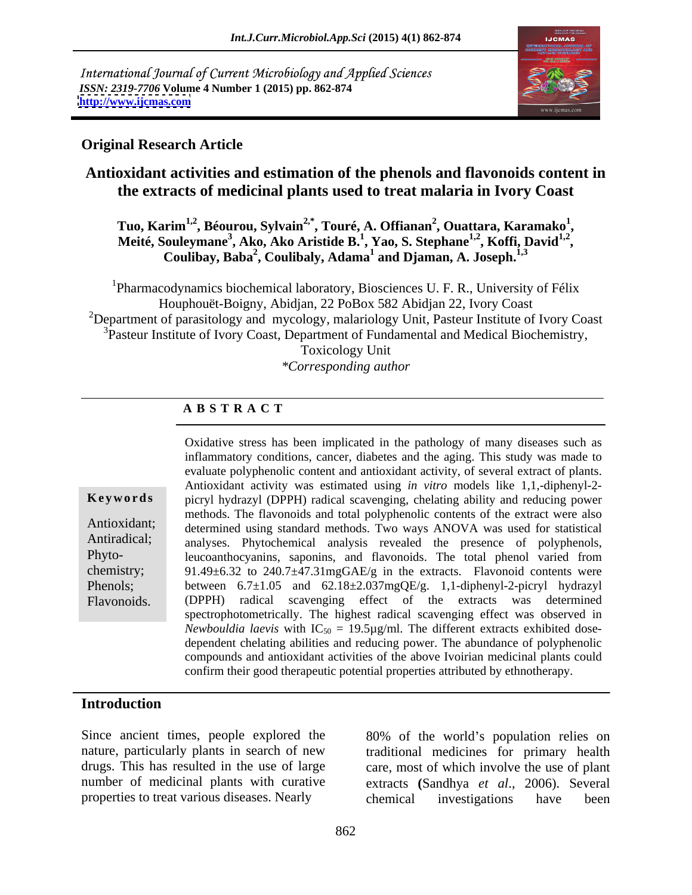International Journal of Current Microbiology and Applied Sciences *ISSN: 2319-7706* **Volume 4 Number 1 (2015) pp. 862-874 <http://www.ijcmas.com>**



## **Original Research Article**

# **Antioxidant activities and estimation of the phenols and flavonoids content in the extracts of medicinal plants used to treat malaria in Ivory Coast**

**Tuo, Karim1,2, Béourou, Sylvain2,\*, Touré, A. Offianan<sup>2</sup>** , Ouattara, Karamako<sup>1</sup>, Tuo, Karim<sup>1,2</sup>, Béourou, Sylvain<sup>2,°</sup>, Touré, A. Offianan<sup>2</sup>, Ouattara, Karamako<sup>1</sup>,<br>Meité, Souleymane<sup>3</sup>, Ako, Ako Aristide B.<sup>1</sup>, Yao, S. Stephane<sup>1,2</sup>, Koffi, David<sup>1,2</sup>, **, Coulibay, Baba<sup>2</sup> , Coulibaly, Adama<sup>1</sup> and Djaman, A. Joseph.1,3**

<sup>1</sup>Pharmacodynamics biochemical laboratory, Biosciences U. F. R., University of Félix Houphouët-Boigny, Abidjan, 22 PoBox 582 Abidjan 22, Ivory Coast <sup>2</sup>Department of parasitology and mycology, malariology Unit, Pasteur Institute of Ivory Coast <sup>3</sup>Pasteur Institute of Ivory Coast, Department of Fundamental and Medical Biochemistry, Toxicology Unit *\*Corresponding author*

## **A B S T R A C T**

**Ke ywo rds** picryl hydrazyl (DPPH) radical scavenging, chelating ability and reducing power Antioxidant; determined using standard methods. Two ways ANOVA was used for statistical Antiradical; analyses. Phytochemical analysis revealed the presence of polyphenols, Phyto- leucoanthocyanins, saponins, and flavonoids. The total phenol varied from chemistry; 91.49±6.32 to 240.7±47.31mgGAE/g in the extracts. Flavonoid contents were Phenols; between  $6.7\pm1.05$  and  $62.18\pm2.037$ mgQE/g. 1,1-diphenyl-2-picryl hydrazyl Considative stress has been implicated in the pathology of many diseases such as<br>
inflammatory conditions, cancer, diabetes and the aging. This study was made to<br>
evaluate polyphenolic content and antioxidant activity, of inflammatory conditions, cancer, diabetes and the aging. This study was made to evaluate polyphenolic content and antioxidant activity, of several extract of plants. Antioxidant activity was estimated using *in vitro* models like 1,1,-diphenyl-2 methods. The flavonoids and total polyphenolic contents of the extract were also (DPPH) radical scavenging effect of the extracts was determined spectrophotometrically. The highest radical scavenging effect was observed in *Newbouldia laevis* with  $IC_{50} = 19.5\mu g/ml$ . The different extracts exhibited dosedependent chelating abilities and reducing power. The abundance of polyphenolic compounds and antioxidant activities of the above Ivoirian medicinal plants could confirm their good therapeutic potential properties attributed by ethnotherapy.

### **Introduction**

Since ancient times, people explored the properties to treat various diseases. Nearly

nature, particularly plants in search of new traditional medicines for primary health drugs. This has resulted in the use of large care, most of which involve the use of plant number of medicinal plants with curative extracts **(**Sandhya *et al*., 2006). Several 80% of the world's population relies on chemical investigations have been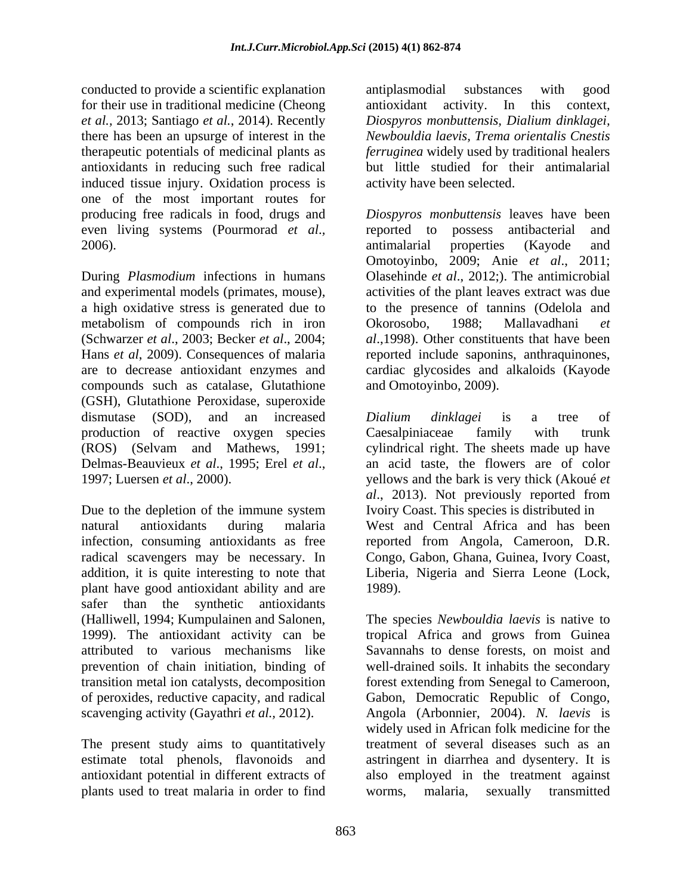conducted to provide a scientific explanation for their use in traditional medicine (Cheong antioxidant activity. In this context, *et al.,* 2013; Santiago *et al.*, 2014). Recently *Diospyros monbuttensis, Dialium dinklagei,* there has been an upsurge of interest in the *Newbouldia laevis, Trema orientalis Cnestis* therapeutic potentials of medicinal plants as *ferruginea* widely used by traditional healers antioxidants in reducing such free radical but little studied for their antimalarial induced tissue injury. Oxidation process is one of the most important routes for even living systems (Pourmorad *et al.*, reported to possess antibacterial and

During *Plasmodium* infections in humans and experimental models (primates, mouse), a high oxidative stress is generated due to to the presence of tannins (Odelola and metabolism of compounds rich in iron Okorosobo, 1988; Mallavadhani et (Schwarzer *et al*., 2003; Becker *et al*., 2004; Hans *et al*, 2009). Consequences of malaria reported include saponins, anthraquinones, are to decrease antioxidant enzymes and cardiac glycosides and alkaloids (Kayode compounds such as catalase, Glutathione (GSH), Glutathione Peroxidase, superoxide dismutase (SOD), and an increased *Dialium dinklagei* is a tree of production of reactive oxygen species Caesalpiniaceae family with trunk (ROS) (Selvam and Mathews, 1991; cylindrical right. The sheets made up have Delmas-Beauvieux *et al*., 1995; Erel *et al*., an acid taste, the flowers are of color 1997; Luersen *et al*., 2000). yellows and the bark is very thick (Akoué *et* 

Due to the depletion of the immune system Ivoiry Coast. This species is distributed in natural antioxidants during malaria West and Central Africa and has been infection, consuming antioxidants as free reported from Angola, Cameroon, D.R. radical scavengers may be necessary. In Congo, Gabon, Ghana, Guinea, Ivory Coast, addition, it is quite interesting to note that Liberia, Nigeria and Sierra Leone (Lock, plant have good antioxidant ability and are safer than the synthetic antioxidants (Halliwell, 1994; Kumpulainen and Salonen, 1999). The antioxidant activity can be

plants used to treat malaria in order to find

antiplasmodial substances with good antioxidant activity. In this context, activity have been selected.

producing free radicals in food, drugs and *Diospyros monbuttensis* leaves have been 2006). The antimal arising a method is a method of the contract and antimalarial properties (Kayode and reported to possess antibacterial and antimalarial properties (Kayode and Omotoyinbo, 2009; Anie *et al*., 2011; Olasehinde *et al*., 2012;). The antimicrobial activities of the plant leaves extract was due Okorosobo, 1988; Mallavadhani *et al*.,1998). Other constituents that have been and Omotoyinbo, 2009).

> *Dialium dinklagei* is a tree of Caesalpiniaceae family with trunk *al*., 2013). Not previously reported from Ivoiry Coast. This species is distributed in 1989).

attributed to various mechanisms like Savannahs to dense forests, on moist and prevention of chain initiation, binding of well-drained soils. It inhabits the secondary transition metal ion catalysts, decomposition forest extending from Senegal to Cameroon, of peroxides, reductive capacity, and radical Gabon, Democratic Republic of Congo, scavenging activity (Gayathri *et al.*, 2012). Angola (Arbonnier, 2004). N. laevis is<br>widely used in African folk medicine for the<br>The present study aims to quantitatively treatment of several diseases such as an estimate total phenols, flavonoids and astringent in diarrhea and dysentery. It is antioxidant potential in different extracts of also employed in the treatment against The species *Newbouldia laevis* is native to tropical Africa and grows from Guinea Angola (Arbonnier, 2004). *N. laevis* is widely used in African folk medicine for the treatment of several diseases such as an worms, malaria, sexually transmitted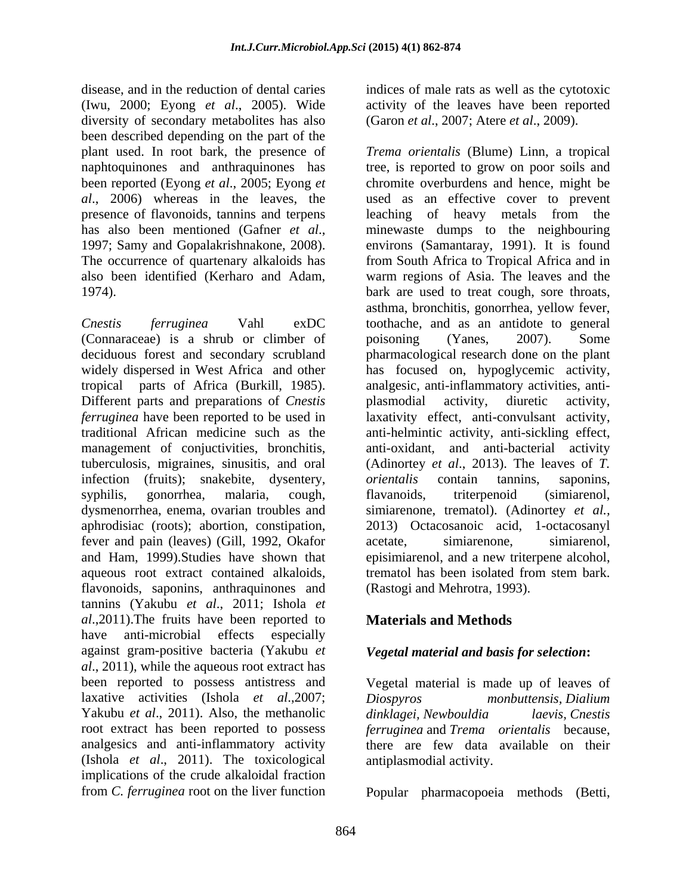disease, and in the reduction of dental caries indices of male rats as well as the cytotoxic (Iwu, 2000; Eyong *et al*., 2005). Wide diversity of secondary metabolites has also been described depending on the part of the

(Connaraceae) is a shrub or climber of poisoning (Yanes, 2007). Some Different parts and preparations of *Cnestis* plasmodial activity, diuretic activity, tuberculosis, migraines, sinusitis, and oral infection (fruits); snakebite, dysentery, *orientalis* contain tannins, saponins, fever and pain (leaves) (Gill, 1992, Okafor and Ham, 1999).Studies have shown that aqueous root extract contained alkaloids, flavonoids, saponins, anthraquinones and tannins (Yakubu *et al*., 2011; Ishola*et al*.,2011). The fruits have been reported to **Materials and Methods** have anti-microbial effects especially against gram-positive bacteria (Yakubu *et al*., 2011), while the aqueous root extract has been reported to possess antistress and Vegetal material is made up of leaves of laxative activities (Ishola *et al*.,2007; Yakubu *et al.*, 2011). Also, the methanolic *dinklagei*, Newbouldia *laevis*, Cnestis root extract has been reported to possess *ferruginea* and *Trema orientalis* because, analgesics and anti-inflammatory activity there are few data available on their (Ishola *et al*., 2011). The toxicological implications of the crude alkaloidal fraction

activity of the leaves have been reported (Garon *et al*., 2007; Atere *et al*., 2009).

plant used. In root bark, the presence of *Trema orientalis* (Blume) Linn, a tropical naphtoquinones and anthraquinones has tree, is reported to grow on poor soils and been reported (Eyong *et al*., 2005; Eyong *et*  chromite overburdens and hence, might be *al*., 2006) whereas in the leaves, the used as an effective cover to prevent presence of flavonoids, tannins and terpens leaching of heavy metals from the has also been mentioned (Gafner *et al*., minewaste dumps to the neighbouring 1997; Samy and Gopalakrishnakone, 2008). environs (Samantaray, 1991). It is found The occurrence of quartenary alkaloids has from South Africa to Tropical Africa and in also been identified (Kerharo and Adam, warm regions of Asia. The leaves and the 1974). bark are used to treat cough, sore throats, *Cnestis ferruginea* Vahl exDC toothache, and as an antidote to general deciduous forest and secondary scrubland pharmacological research done on the plant widely dispersed in West Africa and other has focused on, hypoglycemic activity, tropical parts of Africa (Burkill, 1985). analgesic, anti-inflammatory activities, anti *ferruginea* have been reported to be used in laxativity effect, anti-convulsant activity, traditional African medicine such as the anti-helmintic activity, anti-sickling effect, management of conjuctivities, bronchitis, anti-oxidant, and anti-bacterial activity syphilis, gonorrhea, malaria, cough, flavanoids, triterpenoid (simiarenol, dysmenorrhea, enema, ovarian troubles and simiarenone, trematol). (Adinortey *et al.,* aphrodisiac (roots); abortion, constipation, 2013) Octacosanoic acid, 1-octacosanyl asthma, bronchitis, gonorrhea, yellow fever, poisoning (Yanes, 2007). Some plasmodial activity, diuretic activity, (Adinortey *et al*., 2013). The leaves of *T. orientalis* contain tannins, saponins, flavanoids, triterpenoid (simiarenol, acetate, simiarenone, simiarenol, episimiarenol, and a new triterpene alcohol, trematol has been isolated from stem bark. (Rastogi and Mehrotra, 1993).

# **Materials and Methods**

## *Vegetal material and basis for selection***:**

*Diospyros monbuttensis, Dialium dinklagei, Newbouldia laevis, Cnestis*  antiplasmodial activity.

from *C. ferruginea* root on the liver function Popular pharmacopoeia methods (Betti,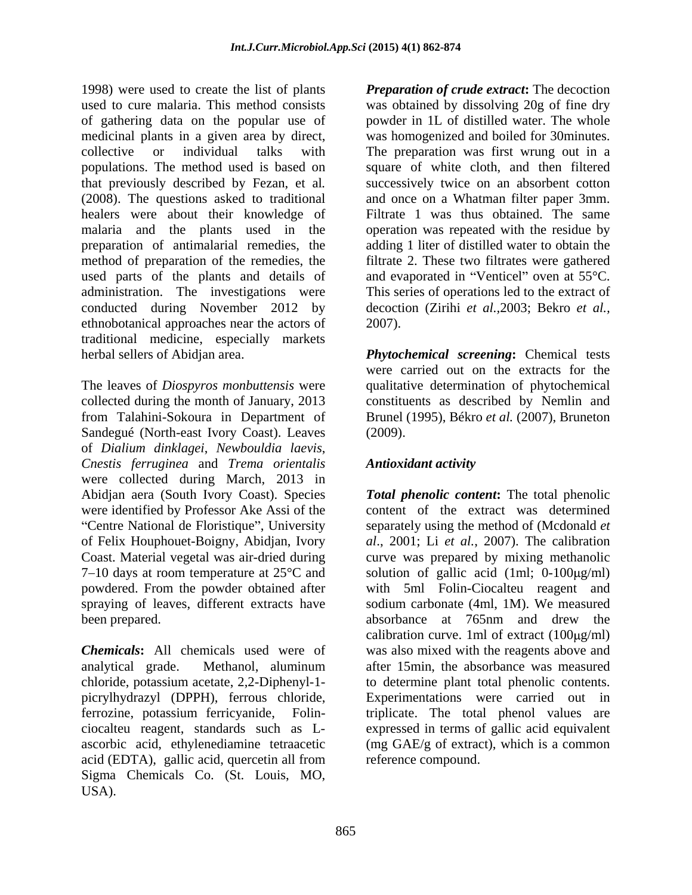1998) were used to create the list of plants *Preparation of crude extract***:** The decoction used to cure malaria. This method consists was obtained by dissolving 20g of finedry of gathering data on the popular use of medicinal plants in a given area by direct, was homogenized and boiled for 30minutes. collective or individual talks with The preparation was first wrung out in a populations. The method used is based on square of white cloth, and then filtered that previously described by Fezan, et al*.* successively twice on an absorbent cotton (2008). The questions asked to traditional and once on a Whatman filter paper 3mm. healers were about their knowledge of malaria and the plants used in the operation was repeated with the residue by preparation of antimalarial remedies, the adding 1 liter of distilled water to obtain the method of preparation of the remedies, the used parts of the plants and details of and evaporated in "Venticel" oven at  $55^{\circ}$ C. administration. The investigations were This series of operations led to the extract of conducted during November 2012 by ethnobotanical approaches near the actors of traditional medicine, especially markets

The leaves of *Diospyros monbuttensis* were qualitative determination of phytochemical collected during the month of January, 2013 constituents as described by Nemlin and from Talahini-Sokoura in Department of Brunel (1995), Békro *et al.* (2007), Bruneton Sandegué (North-east Ivory Coast). Leaves (2009). of *Dialium dinklagei*, *Newbouldia laevis*, *Cnestis ferruginea* and *Trema orientalis* were collected during March, 2013 in "Centre National de Floristique", University spraying of leaves, different extracts have been prepared. been absorbance at 765nm and drew the

acid (EDTA), gallic acid, quercetin all from Sigma Chemicals Co. (St. Louis, MO, USA).

powder in 1L of distilled water. The whole Filtrate 1 was thus obtained. The same filtrate 2. These two filtrates were gathered decoction (Zirihi *et al.,*2003; Bekro *et al.,* 2007).

herbal sellers of Abidjan area. *Phytochemical screening***:** Chemical tests were carried out on the extracts for the (2009).

# *Antioxidant activity*

Abidjan aera (South Ivory Coast). Species *Total phenolic content***:** The total phenolic were identified by Professor Ake Assi of the content of the extract was determined of Felix Houphouet-Boigny, Abidjan, Ivory *al*., 2001; Li *et al.*, 2007). The calibration Coast. Material vegetal was air-dried during curve was prepared by mixing methanolic  $7-10$  days at room temperature at  $25^{\circ}$ C and solution of gallic acid (1ml; 0-100 $\mu$ g/ml) powdered. From the powder obtained after with 5ml Folin-Ciocalteu reagent and *Chemicals***:** All chemicals used were of was also mixed with the reagents above and analytical grade. Methanol, aluminum chloride, potassium acetate, 2,2-Diphenyl-1- to determine plant total phenolic contents. picrylhydrazyl (DPPH), ferrous chloride, Experimentations were carried out in ferrozine, potassium ferricyanide, Folin- triplicate. The total phenol values are ciocalteu reagent, standards such as L- expressed in terms of gallic acid equivalent ascorbic acid, ethylenediamine tetraacetic (mg GAE/g of extract), which is a common separately using the method of (Mcdonald *et*  sodium carbonate (4ml, 1M). We measured absorbance at 765nm and drew the calibration curve. 1ml of extract  $(100\mu\text{g/ml})$ after 15min, the absorbance was measured reference compound.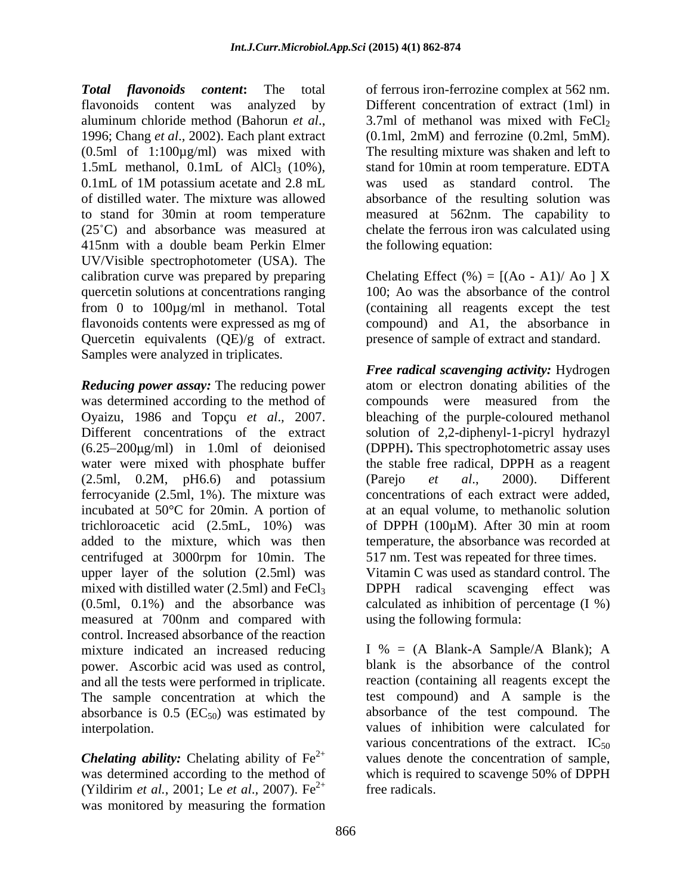*Total flavonoids content***:** The total of ferrous iron-ferrozine complex at 562 nm. flavonoids content was analyzed by Different concentration of extract (1ml) in aluminum chloride method (Bahorun *et al.*, 3.7ml of methanol was mixed with FeCl<sub>2</sub><br>1996; Chang *et al.*, 2002). Each plant extract (0.1ml, 2mM) and ferrozine (0.2ml, 5mM). (0.5ml of 1:100µg/ml) was mixed with 1.5mL methanol,  $0.1$ mL of  $AICl<sub>3</sub>$  (10%), stand for 10min at room temperature. EDTA 0.1mL of 1M potassium acetate and 2.8 mL was used as standard control. The of distilled water. The mixture was allowed absorbance of the resulting solution was to stand for 30min at room temperature  $(25^{\circ}C)$  and absorbance was measured at (25 C) and absorbance was measured at chelate the ferrous iron was calculated using 415nm with a double beam Perkin Elmer UV/Visible spectrophotometer (USA). The calibration curve was prepared by preparing quercetin solutions at concentrations ranging from 0 to 100µg/ml in methanol. Total (containing all reagents except the test flavonoids contents were expressed as mg of compound) and A1, the absorbance in Quercetin equivalents (QE)/g of extract. Samples were analyzed in triplicates.

**Reducing power assay:** The reducing power atom or electron donating abilities of the was determined according to the method of compounds were measured from the Oyaizu, 1986 and Topçu *et al*.*,* 2007. bleaching of the purple-coloured methanol Different concentrations of the extract solution of 2,2-diphenyl-1-picryl hydrazyl (6.25 200 g/ml) in 1.0ml of deionised (DPPH)**.** This spectrophotometric assay uses water were mixed with phosphate buffer  $(2.5ml, 0.2M, pH6.6)$  and potassium (Parejo et al., 2000). Different ferrocyanide (2.5ml, 1%). The mixture was incubated at 50°C for 20min. A portion of at an equal volume, to methanolic solution trichloroacetic acid (2.5mL, 10%) was of DPPH (100µM). After 30 min at room added to the mixture, which was then temperature, the absorbance was recorded at centrifuged at 3000rpm for 10min. The upper layer of the solution (2.5ml) was mixed with distilled water  $(2.5ml)$  and  $FeCl<sub>3</sub>$  DPPH radical scavenging effect was (0.5ml, 0.1%) and the absorbance was calculated as inhibition of percentage (I %) measured at 700nm and compared with control. Increased absorbance of the reaction mixture indicated an increased reducing power. Ascorbic acid was used as control, and all the tests were performed in triplicate. absorbance is  $0.5$  (EC<sub>50</sub>) was estimated by

(Yildirim *et al.*, 2001; Le *et al*.*,* 2007). Fe was monitored by measuring the formation

3.7ml of methanol was mixed with  $FeCl<sub>2</sub>$ (0.1ml, 2mM) and ferrozine (0.2ml, 5mM). The resulting mixture was shaken and left to was used as standard control. The measured at 562nm. The capability to the following equation:

Chelating Effect  $(\% ) = [(A_0 - A_1)/A_0] \times X$ 100; Ao was the absorbance of the control presence of sample of extract and standard.

*Free radical scavenging activity:* Hydrogen compounds were measured from the the stable free radical, DPPH as a reagent (Parejo *et al*., 2000). Different concentrations of each extract were added, 517 nm. Test was repeated for three times.

Vitamin C was used as standard control. The using the following formula:

The sample concentration at which the test compound) and A sample is the interpolation. values of inhibition were calculated for **Chelating ability:** Chelating ability of  $Fe^{2+}$  values denote the concentration of sample, was determined according to the method of which is required to scavenge 50% of DPPH  $2^{+}$  free redicals I % =  $(A \text{ Blank-A Sample/A Blank}); A$ blank is the absorbance of the control reaction (containing all reagents except the absorbance of the test compound. The various concentrations of the extract.  $IC_{50}$ free radicals.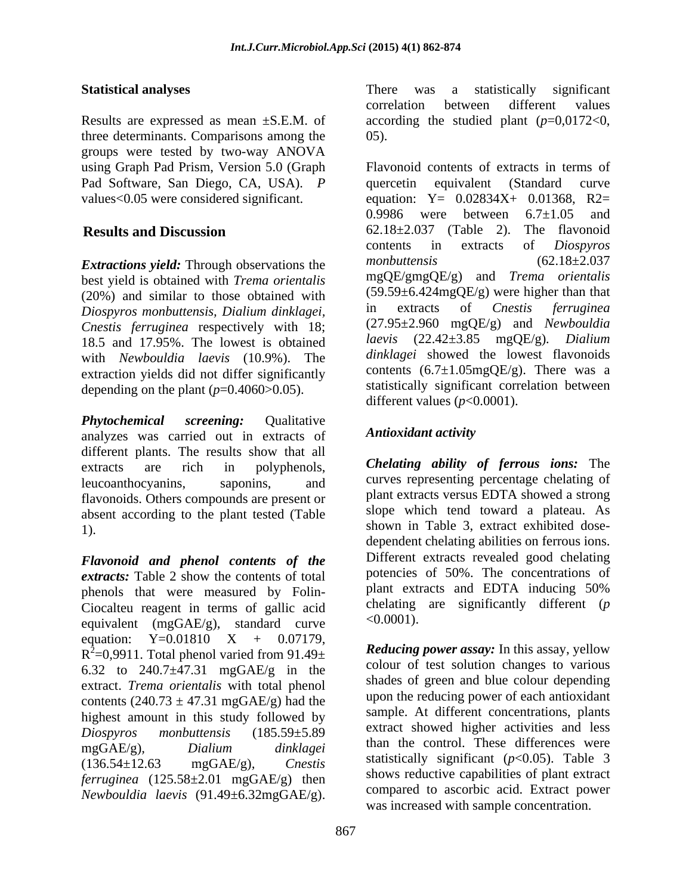three determinants. Comparisons among the groups were tested by two-way ANOVA using Graph Pad Prism, Version 5.0 (Graph Pad Software, San Diego, CA, USA). *P* 

best yield is obtained with *Trema orientalis* (20%) and similar to those obtained with  $(59.59\pm6.424mgQE/g)$  were higher than that<br>Diospyros monbuttensis Diglium dinklasej in extracts of Cnestis ferruginea *Diospyros monbuttensis, Dialium dinklagei, Cnestis ferruginea* respectively with 18; (27.95±2.960 mgQE/g) and *Newbouldia*<br>18.5 and 17.95% The lowest is obtained laevis (22.42±3.85 mgQE/g). Dialium 18.5 and 17.95%. The lowest is obtained with *Newbouldia laevis* (10.9%). The extraction yields did not differ significantly depending on the plant  $(p=0.4060>0.05)$ .

*Phytochemical screening:* Qualitative analyzes was carried out in extracts of **Antioxidant activity** different plants. The results show that all flavonoids. Others compounds are present or absent according to the plant tested (Table

*Flavonoid and phenol contents of the extracts:* Table 2 show the contents of total phenols that were measured by Folin- Ciocalteu reagent in terms of gallic acid chelating<br>equivalent (mgCAE/g) standard curve <0.0001). equivalent (mgGAE/g), standard curve<br>equation:  $Y=0.01810$  X + 0.07179, equation:  $Y=0.01810 \t X + 0.07179$ ,  $R^2$ =0,9911. Total phenol varied from 91.49 $\pm$ 6.32 to 240.7±47.31 mgGAE/g in the extract. *Trema orientalis* with total phenol contents  $(240.73 \pm 47.31 \text{ mgGAE/g})$  had the highest amount in this study followed by *ferruginea* (125.58±2.01 mgGAE/g) then *Newbouldia laevis* (91.49±6.32mgGAE/g).

**Statistical analyses** There was a statistically significant Results are expressed as mean ±S.E.M. of according the studied plant (*p*=0,0172<0, There was a statistically significant correlation between different values 05).

values<0.05 were considered significant. equation: Y= 0.02834X+ 0.01368, R2= **Results and Discussion** 62.18±2.037 (Table 2). The flavonoid **Extractions yield:** Through observations the monbuttensis (62.18±2.037) Flavonoid contents of extracts in terms of quercetin equivalent (Standard curve 0.9986 were between  $6.7 \pm 1.05$  and contents in extracts of *Diospyros monbuttensis* (62.18±2.037 mgQE/gmgQE/g) and *Trema orientalis*  $(59.59 \pm 6.424 \text{mgQE/g})$  were higher than that in extracts of *Cnestis ferruginea* (27.95±2.960 mgQE/g) and *Newbouldia laevis* (22.42±3.85 mgQE/g)*. Dialium dinklagei* showed the lowest flavonoids contents  $(6.7 \pm 1.05 \text{mgQE/g})$ . There was a statistically significant correlation between different values (*p*<0.0001).

## *Antioxidant activity*

extracts are rich in polyphenols, *Chelating ability of ferrous ions:* The leucoanthocyanins, saponins, and curves representing percentage chelating of 1). Shown in Table 3, extract exhibited doseplant extracts versus EDTA showed a strong slope which tend toward a plateau. As dependent chelating abilities on ferrous ions. Different extracts revealed good chelating potencies of 50%. The concentrations of plant extracts and EDTA inducing 50% chelating are significantly different (*p* <0.0001).

 $^{2}$ =0,9911. Total phenol varied from 91.49 $\pm$  Reducing power assay: In this assay, yellow *Diospyros monbuttensis* (185.59±5.89 mgGAE/g)*, Dialium dinklagei* (136.54±12.63 mgGAE/g)*, Cnestis* statistically significant (*p*<0.05). Table 3 *Reducing power assay:* In this assay, yellow colour of test solution changes to various shades of green and blue colour depending upon the reducing power of each antioxidant sample. At different concentrations, plants extract showed higher activities and less than the control. These differences were shows reductive capabilities of plant extract compared to ascorbic acid. Extract power was increased with sample concentration.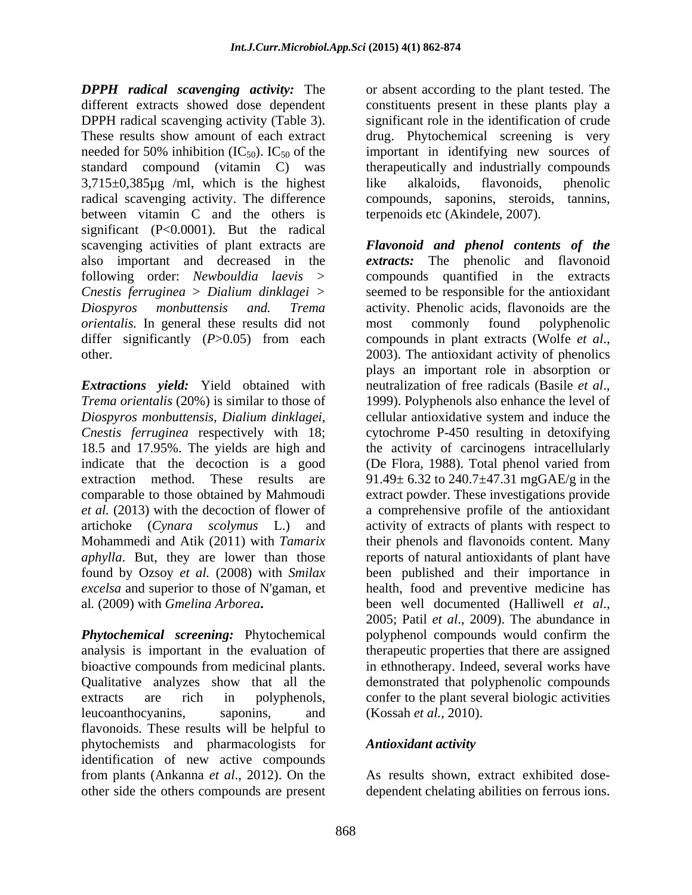*DPPH radical scavenging activity:* The different extracts showed dose dependent constituents present in these plants play a DPPH radical scavenging activity (Table 3). significant role in the identification of crude These results show amount of each extract drug. Phytochemical screening is very needed for 50% inhibition (IC<sub>50</sub>). IC<sub>50</sub> of the important in identifying new sources of standard compound (vitamin C) was therapeutically and industrially compounds 3,715±0,385µg /ml, which is the highest radical scavenging activity. The difference between vitamin C and the others is significant (P<0.0001). But the radical *orientalis*. In general these results did not most commonly found polyphenolic differ significantly (*P*>0.05) from each compounds in plant extracts (Wolfe *et al.*, other. 2003). The antioxidant activity of phenolics

**Extractions** yield: Yield obtained with neutralization of free radicals (Basile et al., *Trema orientalis* (20%) is similar to those of 1999). Polyphenols also enhance the level of al*.* (2009) with *Gmelina Arborea***.**

*Phytochemical screening:* Phytochemical analysis is important in the evaluation of bioactive compounds from medicinal plants. leucoanthocyanins, saponins, and (Kossah et al., 2010). flavonoids. These results will be helpful to phytochemists and pharmacologists for **Antioxidant activity** identification of new active compounds from plants (Ankanna *et al*.*,* 2012). On the

or absent according to the plant tested. The important in identifying new sources of like alkaloids, flavonoids, phenolic compounds, saponins, steroids, tannins, terpenoids etc (Akindele, 2007).

scavenging activities of plant extracts are *Flavonoid and phenol contents of the* also important and decreased in the *extracts:* The phenolic and flavonoid following order: *Newbouldia laevis >* compounds quantified in the extracts *Cnestis ferruginea* > *Dialium dinklagei >* seemed to be responsible for the antioxidant *Diospyros monbuttensis and. Trema* activity. Phenolic acids, flavonoids are the *Diospyros monbuttensis, Dialium dinklagei,* cellular antioxidative system and induce the *Cnestis ferruginea* respectively with 18; cytochrome P-450 resulting in detoxifying 18.5 and 17.95%. The yields are high and the activity of carcinogens intracellularly indicate that the decoction is a good (De Flora, 1988). Total phenol varied from extraction method. These results are  $91.49 \pm 6.32$  to  $240.7 \pm 47.31$  mgGAE/g in the comparable to those obtained by Mahmoudi extract powder. These investigations provide *et al.* (2013) with the decoction of flower of a comprehensive profile of the antioxidant artichoke (*Cynara scolymus*L.) and activity of extracts of plants with respect to Mohammedi and Atik (2011) with *Tamarix*  their phenols and flavonoids content. Many *aphylla*. But, they are lower than those reports of natural antioxidants of plant have found by Ozsoy *et al.* (2008) with *Smilax*  been published and their importance in *excelsa* and superior to those of N'gaman, et health, food and preventive medicine has Qualitative analyzes show that all the demonstrated that polyphenolic compounds extracts are rich in polyphenols, confer to the plant several biologic activities most commonly found polyphenolic compounds in plant extracts (Wolfe *et al*., 2003). The antioxidant activity of phenolics plays an important role in absorption or neutralization of free radicals (Basile *et al*., 1999). Polyphenols also enhance the level of been well documented (Halliwell *et al*., 2005; Patil *et al*., 2009). The abundance in polyphenol compounds would confirm the therapeutic properties that there are assigned in ethnotherapy. Indeed, several works have (Kossah *et al.*, 2010).

## *Antioxidant activity*

other side the others compounds are present dependent chelating abilities on ferrous ions. As results shown, extract exhibited dose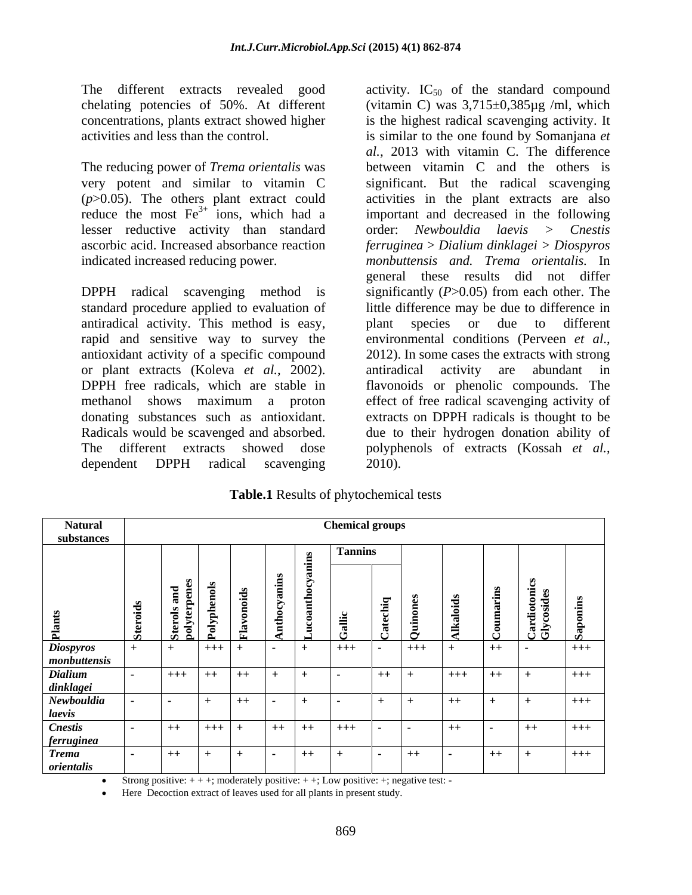The different extracts revealed good activity.  $IC_{50}$  of the standard compound

reduce the most  $Fe<sup>3+</sup>$  ions, which had a

standard procedure applied to evaluation of antiradical activity. This method is easy, rapid and sensitive way to survey the environmental conditions (Perveen *et al.*, antioxidant activity of a specific compound 2012). In some cases the extracts with strong or plant extracts (Koleva *et al.*, 2002). The different extracts showed dose polyphenols of extracts (Kossah et al., dependent DPPH radical scavenging 2010).

chelating potencies of 50%. At different (vitamin C) was 3,715±0,385µg /ml, which concentrations, plants extract showed higher is the highest radical scavenging activity. It activities and less than the control. is similar to the one found by Somanjana *et*  The reducing power of *Trema orientalis* was between vitamin C and the others is very potent and similar to vitamin C significant. But the radical scavenging (*p*>0.05). The others plant extract could activities in the plant extracts are also lesser reductive activity than standard order: *Newbouldia laevis > Cnestis* ascorbic acid. Increased absorbance reaction *ferruginea* > *Dialium dinklagei > Diospyros* indicated increased reducing power. *monbuttensis and. Trema orientalis.* In DPPH radical scavenging method is significantly (*P*>0.05) from each other. The DPPH free radicals, which are stable in flavonoids or phenolic compounds. The methanol shows maximum a proton effect of free radical scavenging activity of donating substances such as antioxidant. extracts on DPPH radicals is thought to be Radicals would be scavenged and absorbed. due to their hydrogen donation ability of *al.,* 2013 with vitamin C. The difference important and decreased in the following general these results did not differ little difference may be due to difference in plant species or due to different environmental conditions (Perveen *et al*., 2012). In some cases the extracts with strong antiradical activity are abundant in polyphenols of extracts (Kossah *et al.*, 2010).

| <b>Table.1</b> Results of phytochemical<br>al tests |  |
|-----------------------------------------------------|--|
|                                                     |  |

| <b>Natural</b>             |           |                         |           |           |           | <b>Chemical groups</b> |               |       |       |      |        |       |  |  |
|----------------------------|-----------|-------------------------|-----------|-----------|-----------|------------------------|---------------|-------|-------|------|--------|-------|--|--|
| substances                 |           |                         |           |           |           |                        |               |       |       |      |        |       |  |  |
|                            |           | $\overline{\mathbf{z}}$ |           |           |           | <b>Tannins</b>         | $\sim$        |       |       |      |        |       |  |  |
|                            |           |                         |           |           |           |                        |               |       |       |      | రి తే  |       |  |  |
| Diospyros<br>monbuttensis  |           | $+++$ $+$               |           |           | $+$       | $+++$                  | . .           | $+++$ | $+$   | $++$ | $\sim$ | $+++$ |  |  |
| <b>Dialium</b>             | $+++$ $+$ |                         | $+$ + $+$ | $+$       |           |                        | $++$          |       | $+++$ | $+$  | $+$    | $+++$ |  |  |
| dinklagei                  |           |                         |           |           |           |                        |               |       |       |      |        |       |  |  |
| Newbouldia<br>laevis       | .         | $+$                     | $++$      |           |           |                        |               |       | $++$  |      | $+$    | $+++$ |  |  |
| <b>Cnestis</b>             | $+$       | $+++$ $+$               |           | $++$ $++$ |           | $+++$                  | $\sim$ $\sim$ |       | $+$   |      | $+$    | $+++$ |  |  |
| <i>ferruginea</i>          |           |                         |           |           |           |                        |               |       |       |      |        |       |  |  |
| <b>Trema</b><br>orientalis | $+$       | $+$                     | $+$ $ -$  |           | $+ +$ $+$ |                        | .             | $++$  |       | $+$  | $+$    | $+++$ |  |  |

Strong positive:  $++$ ; moderately positive:  $++$ ; Low positive:  $+$ ; negative test: -

Here Decoction extract of leaves used for all plants in present study.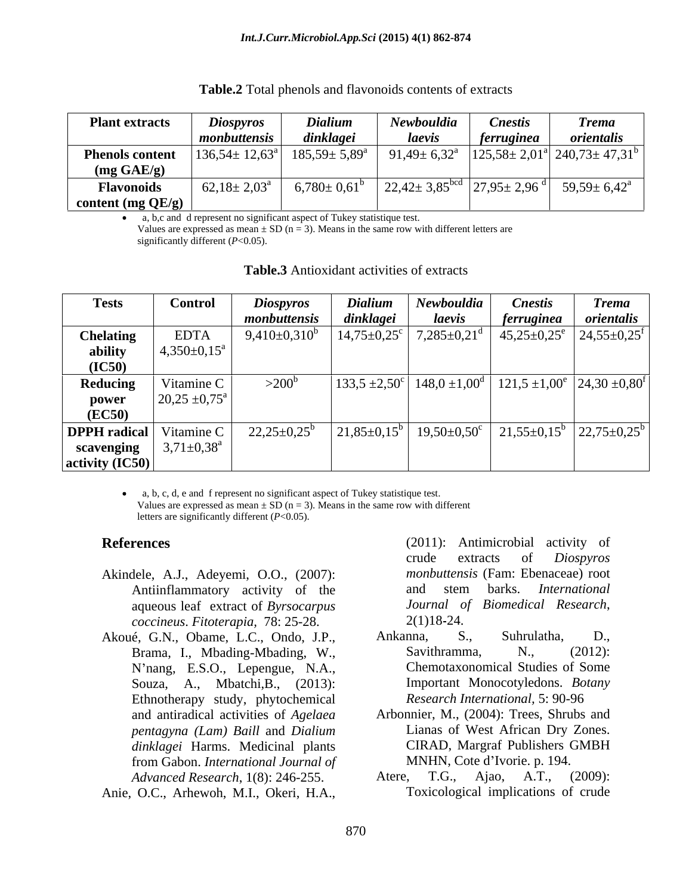| <b>Plant extracts</b>  | <b>Diospyros</b>             | <b>Dialium</b>            | Newbouldia                    | <i>Cnestis</i>             | Trema                                       |
|------------------------|------------------------------|---------------------------|-------------------------------|----------------------------|---------------------------------------------|
|                        | monbuttensis                 | dinklagei                 | laevis                        | <i>ferruginea</i>          | orientalis                                  |
| <b>Phenols content</b> | $ 136,54 \pm 12,63^{\circ} $ | $185,59 \pm 5,89^{\circ}$ | $91,49 \pm 6,32^{\circ}$      | $\frac{2a}{125,58} \pm 2,$ | $2.01^{\circ}$   240,73± 47,31 <sup>b</sup> |
| $(mg \text{ GAE/g})$   |                              |                           |                               |                            |                                             |
| <b>Flavonoids</b>      | $62,18 \pm 2,03^{\text{a}}$  | 6,780<br>$\Omega \leq 10$ | $22,42 \pm 3,85^{\text{bcd}}$ | $ 27.95 \pm 2.96$ d        | $59,59 \pm 6,42^{\rm a}$                    |
| content (mg $QE/g$ )   |                              |                           |                               |                            |                                             |

| $\mathbf{\Lambda}$ able.2 $\mathbf{\Gamma}$<br>Total phenols and flavonoids contents of<br>t extracts |  |  |
|-------------------------------------------------------------------------------------------------------|--|--|
|                                                                                                       |  |  |

a, b,c and d represent no significant aspect of Tukey statistique test.

Values are expressed as mean  $\pm$  SD (n = 3). Means in the same row with different letters are significantly different (*P*<0.05).

| <b>Tests</b>                   | Control                  | <b>Diospyros</b>       | <b>Dialium</b>   | Newbouldia                    | <b>Cnestis</b>                                                                                                          | <b>Trema</b>                |
|--------------------------------|--------------------------|------------------------|------------------|-------------------------------|-------------------------------------------------------------------------------------------------------------------------|-----------------------------|
|                                |                          | monbuttensis           | dinklagei        | laevis                        | <i>ferruginea</i>                                                                                                       | orientalis                  |
| <b>Chelating</b>               | <b>EDTA</b>              | $9,410\pm0,310^b$      | $14,75 \pm 0,25$ | $7,285 \pm 0,21$ <sup>d</sup> | $45,25 \pm 0,25$ <sup>e</sup>                                                                                           | $24,55\pm0,25$ <sup>f</sup> |
| ability                        | $+4,350\pm0,15^{\circ}$  |                        |                  |                               |                                                                                                                         |                             |
| (IC50)                         |                          |                        |                  |                               |                                                                                                                         |                             |
| Reducing                       | Vitamine C               | $>200^{\circ}$         |                  |                               | $\left[133,5\pm2,50^{\circ}\right]$ 148,0 $\pm1,00^{\circ}$ $\left[121,5\pm1,00^{\circ}\right]$ 24,30 $\pm0,80^{\circ}$ |                             |
| power                          | $20,25 \pm 0,75^{\circ}$ |                        |                  |                               |                                                                                                                         |                             |
| (EC50)                         |                          |                        |                  |                               |                                                                                                                         |                             |
| <b>DPPH</b> radical Vitamine C |                          | $22,25\pm0,25^{\rm b}$ | $21,85 \pm 0,15$ | $19,50 \pm 0,50$ <sup>c</sup> | $21,55\pm0,15^b$                                                                                                        | $22,75\pm0.25$ <sup>t</sup> |
| scavenging                     | $3,71 \pm 0,38^{\rm a}$  |                        |                  |                               |                                                                                                                         |                             |
| activity (IC50)                |                          |                        |                  |                               |                                                                                                                         |                             |

### **Table.3** Antioxidant activities of extracts

a, b, c, d, e and f represent no significant aspect of Tukey statistique test. Values are expressed as mean  $\pm$  SD (n = 3). Means in the same row with different letters are significantly different (*P*<0.05).

- Akindele, A.J., Adeyemi, O.O., (2007): *monbuttensi*<br>Antiinflammatory activity of the and stem *coccineus*. *Fitoterapia,* 78: 25-28.
- Akoué, G.N., Obame, L.C., Ondo, J.P., N'nang, E.S.O., Lepengue, N.A., Souza, A., Mbatchi,B., (2013): Ethnotherapy study, phytochemical *pentagyna (Lam) Baill* and *Dialium*  from Gabon. *International Journal of*  **References** (2011): Antimicrobial activity of crude extracts of *Diospyros* monbuttensis (Fam: Ebenaceae) rot Antinflammatory activity of the and stem barks. *International* aqueous leaf extract of *Byrsocarpus Journal*

**References** (2011): Antimicrobial activity of Antiinflammatory activity of the and stem barks. *International* aqueous leaf extract of *Byrsocarpus* crude extracts of *Diospyros monbuttensis* (Fam: Ebenaceae) root and stem barks. *International Journal of Biomedical Research*, 2(1)18 24.

- Brama, I., Mbading-Mbading, W., Savithramma, N., (2012): Ankanna, S., Suhrulatha, D., Savithramma, N.,  $(2012)$ : Chemotaxonomical Studies of Some Important Monocotyledons. *Botany Research International,* 5: 90-96
- and antiradical activities of *Agelaea*  Arbonnier, M., (2004): Trees, Shrubs and *dinklagei* Harms. Medicinal plants CIRAD, Margraf Publishers GMBH Lianas of West African Dry Zones. CIRAD, Margraf Publishers GMBH MNHN, Cote d'Ivorie. p. 194.
- *Advanced Research*, 1(8): 246-255. Atere, T.G., Ajao, A.T., (2009): Toxicological implications of crude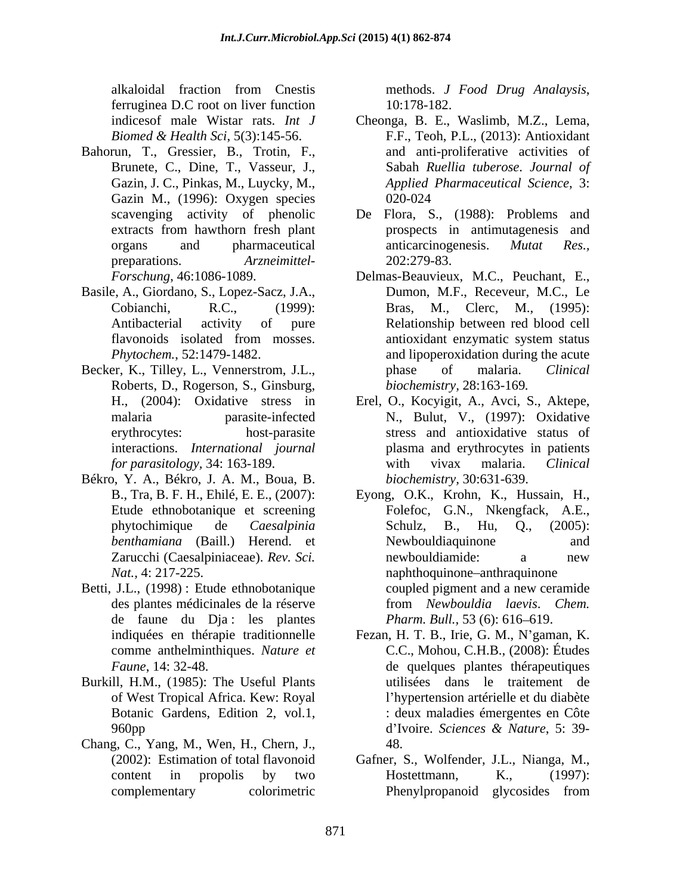alkaloidal fraction from Cnestis methods. J Food Drug Analaysis, ferruginea D.C root on liver function

- Bahorun, T., Gressier, B., Trotin, F., Brunete, C., Dine, T., Vasseur, J., Gazin M., (1996): Oxygen species
- Basile, A., Giordano, S., Lopez-Sacz, J.A.,
- Roberts, D., Rogerson, S., Ginsburg, interactions. *International journal*
- Békro, Y. A., Békro, J. A. M., Boua, B.
- Betti, J.L., (1998): Etude ethnobotanique coupled pigment and a new ceramide de faune du Dja : les plantes
- Burkill, H.M., (1985): The Useful Plants of West Tropical Africa. Kew: Royal
- Chang, C., Yang, M., Wen, H., Chern, J.,

methods. *<sup>J</sup> Food Drug Analaysis*, 10:178-182.

- indicesof male Wistar rats. *Int J* Cheonga, B. E., Waslimb, M.Z., Lema, *Biomed & Health Sci*, 5(3):145-56. F.F., Teoh, P.L., (2013): Antioxidant Gazin, J. C., Pinkas, M., Luycky, M., *Applied Pharmaceutical Science*, 3: and anti-proliferative activities of Sabah *Ruellia tuberose*. *Journal of* 020-024
- scavenging activity of phenolic De Flora, S., (1988): Problems and extracts from hawthorn fresh plant **prospects** in antimutagenesis and organs and pharmaceutical anticarcinogenesis. *Mutat Res.*, preparations. *Arzneimittel* prospects in antimutagenesis and anticarcinogenesis. *Mutat Res.,* 202:279-83.
- *Forschung*, 46:1086-1089. Delmas-Beauvieux, M.C., Peuchant, E., Cobianchi, R.C., (1999): Bras, M., Clerc, M., (1995): Antibacterial activity of pure Relationship between red blood cell flavonoids isolated from mosses. *Phytochem.*, 52:1479-1482. and lipoperoxidation during the acute Becker, K., Tilley, L., Vennerstrom, J.L., has phase of malaria. Clinical Dumon, M.F., Receveur, M.C., Le antioxidant enzymatic system status phase of malaria. *Clinical biochemistry,* 28:163-169*.*
	- H., (2004): Oxidative stress in Erel, O., Kocyigit, A., Avci, S., Aktepe, malaria parasite-infected N., Bulut, V., (1997): Oxidative erythrocytes: host-parasite stress and antioxidative status of *for parasitology,* 34: 163-189. plasma and erythrocytes in patients with vivax malaria. *Clinical biochemistry,* 30:631-639.
	- B., Tra, B. F. H., Ehilé, E. E., (2007): Eyong, O.K., Krohn, K., Hussain, H., Etude ethnobotanique et screening Folefoc, G.N., Nkengfack, A.E., phytochimique de *Caesalpinia benthamiana* (Baill.) Herend. et Zarucchi (Caesalpiniaceae). *Rev. Sci. Nat.*, 4: 217-225. des plantes médicinales de la réserve from *Newbouldia laevis*. *Chem.*  Folefoc, G.N., Nkengfack, A.E.,<br>Schulz, B., Hu, Q., (2005): Newbouldiaquinone and newbouldiamide: a new coupled pigment and a new ceramide *Pharm. Bull.,* 53 (6): 616–619.
	- indiquées en thérapie traditionnelle Fezan, H. T. B., Irie, G. M., N gaman, K. comme anthelminthiques. *Nature et* C.C., Mohou, C.H.B., (2008): Études *Faune*, 14: 32-48. de quelques plantes thérapeutiques Botanic Gardens, Edition 2, vol.1, : deux maladies émergentes en Côte 960pp d'Ivoire. Sciences & Nature. 5: 39utilisées dans le traitement de l'hypertension artérielle et du diabète d Ivoire. *Sciences & Nature*, 5: 39- 48.
	- (2002): Estimation of total flavonoid Gafner, S., Wolfender, J.L., Nianga, M., content in propolis by two **Hostettmann**, K., (1997): complementary colorimetric Phenylpropanoid glycosides fromHostettmann, K., (1997):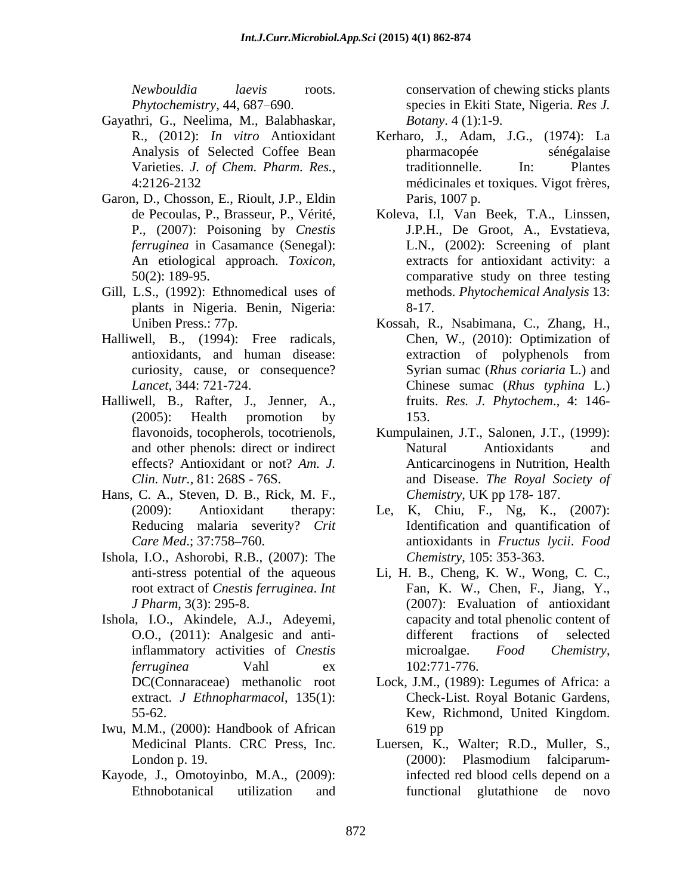- Gayathri, G., Neelima, M., Balabhaskar,
- Garon, D., Chosson, E., Rioult, J.P., Eldin
- Gill, L.S., (1992): Ethnomedical uses of plants in Nigeria. Benin, Nigeria:
- Halliwell, B., (1994): Free radicals, curiosity, cause, or consequence?
- Halliwell, B., Rafter, J., Jenner, A.,
- Hans, C. A., Steven, D. B., Rick, M. F.,
- Ishola, I.O., Ashorobi, R.B., (2007): The root extract of *Cnestis ferruginea*. *Int*
- Ishola, I.O., Akindele, A.J., Adeyemi,
- Iwu, M.M., (2000): Handbook of African
- Kayode, J., Omotoyinbo, M.A., (2009):

*Newbouldia laevis* roots. conservation of chewing sticks plants *Phytochemistry*, 44, 687 690. species in Ekiti State, Nigeria. *Res J. Botany*. 4 (1):1-9.

- R., (2012): *In vitro* Antioxidant Kerharo, J., Adam, J.G., (1974): La Analysis of Selected Coffee Bean Varieties. *J. of Chem. Pharm. Res.,* 4:2126-2132 médicinales et toxiques. Vigot frères, pharmacopée sénégalaise traditionnelle. In: Plantes Paris, 1007 p.
- de Pecoulas, P., Brasseur, P., Vérité, Koleva, I.I, Van Beek, T.A., Linssen, P., (2007): Poisoning by *Cnestis*  J.P.H., De Groot, A., Evstatieva, *ferruginea* in Casamance (Senegal): L.N., (2002): Screening of plant An etiological approach. *Toxicon*, 50(2): 189-95. extracts for antioxidant activity: a comparative study on three testing methods. *Phytochemical Analysis* 13: 8-17.
- Uniben Press.: 77p. Kossah, R., Nsabimana, C., Zhang, H., antioxidants, and human disease: *Lancet,* 344: 721-724. Chinese sumac (*Rhus typhina* L.) (2005): Health promotion by Chen, W., (2010): Optimization of extraction of polyphenols from Syrian sumac (*Rhus coriaria* L.) and fruits. *Res. J. Phytochem*., 4: 146- 153.
- flavonoids, tocopherols, tocotrienols, Kumpulainen, J.T., Salonen, J.T., (1999): and other phenols: direct or indirect Natural Antioxidants and effects? Antioxidant or not? Am. J. Anticarcinogens in Nutrition, Health *Clin. Nutr.,* 81: 268S - 76S. and Disease. *The Royal Society of* Natural Antioxidants and *Chemistry*, UK pp 178- 187.
- (2009): Antioxidant therapy: Le, K, Chiu, F., Ng, K., (2007): Reducing malaria severity? *Crit*  Identification and quantification of *Care Med*.; 37:758 760. antioxidants in *Fructus lycii*. *Food Chemistry*, 105: 353-363.
- anti-stress potential of the aqueous Li, H. B., Cheng, K. W., Wong, C. C., *J Pharm*, 3(3): 295-8. (2007): Evaluation of antioxidant O.O., (2011): Analgesic and antiinflammatory activities of *Cnestis ferruginea* Vahl ex Fan, K. W., Chen, F., Jiang, Y., capacity and total phenolic content of different fractions of selected microalgae. *Food Chemistry*, 102:771-776.
- DC(Connaraceae) methanolic root Lock, J.M., (1989): Legumes of Africa: a extract. *J Ethnopharmacol*, 135(1): Check-List. Royal Botanic Gardens, 55-62. Kew, Richmond, United Kingdom. 619 pp
- Medicinal Plants. CRC Press, Inc. Luersen, K., Walter; R.D., Muller, S., London p. 19. (2000): Plasmodium falciparum-Ethnobotanical utilization and (2000): Plasmodium falciparuminfected red blood cells depend on a functional glutathione de novo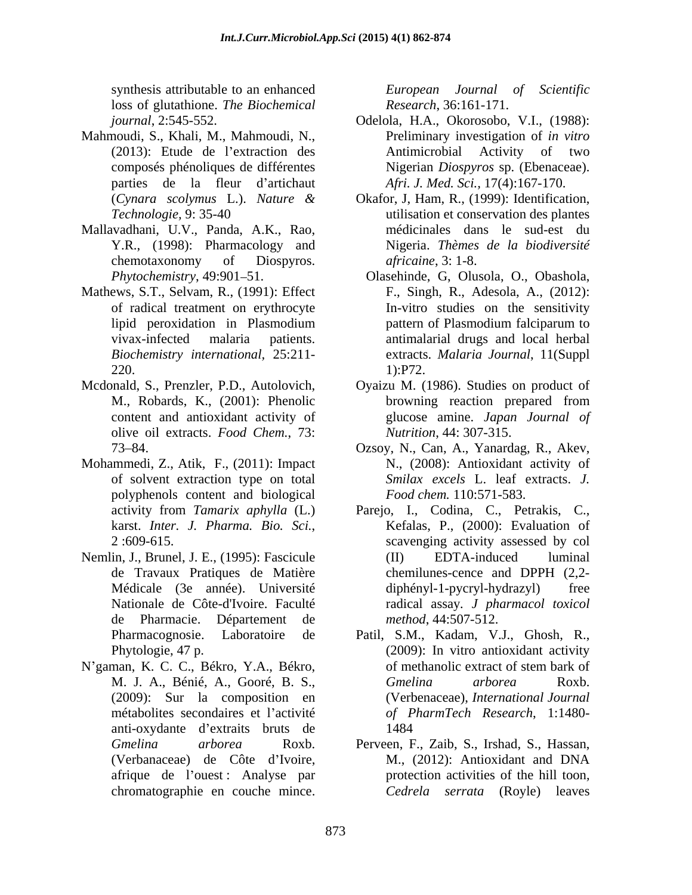synthesis attributable to an enhanced *European Journal of Scientific* loss of glutathione. *The Biochemical*

- Mahmoudi, S., Khali, M., Mahmoudi, N., parties de la fleur d'artichaut
- Mallavadhani, U.V., Panda, A.K., Rao,
- Mathews, S.T., Selvam, R., (1991): Effect
- olive oil extracts. *Food Chem.*, 73:
- Mohammedi, Z., Atik, F., (2011): Impact polyphenols content and biological
- Nemlin, J., Brunel, J. E., (1995): Fascicule (II) EDTA-induced luminal de Pharmacie. Département de
- N gaman, K. C. C., Békro, Y.A., Békro, (2009): Sur la composition en anti-oxydante d'extraits bruts de la 1484

*Research*, 36:161-171.

- *journal*, 2:545-552. Odelola, H.A., Okorosobo, V.I., (1988): (2013): Etude de l'extraction des Antimicrobial Activity of two composés phénoliques de différentes Nigerian *Diospyros* sp. (Ebenaceae). Preliminary investigation of *in vitro* Antimicrobial Activity of two *Afri. J. Med. Sci.,* 17(4):167-170.
- (*Cynara scolymus* L.). *Nature &* Okafor, J, Ham, R., (1999): Identification, *Technologie,* 9: 35-40 utilisation et conservation des plantes Y.R., (1998): Pharmacology and Nigeria. *Thèmes de la biodiversité*  chemotaxonomy of Diospyros. *africaine*, 3: 1-8. médicinales dans le sud-est du *africaine*, 3: 1-8.
- Phytochemistry, 49:901–51. **Olasehinde, G, Olusola, O., Obashola**, of radical treatment on erythrocyte In-vitro studies on the sensitivity lipid peroxidation in Plasmodium vivax-infected malaria patients. antimalarial drugs and local herbal *Biochemistry international,* 25:211- extracts. *Malaria Journal*, 11(Suppl  $220.$  1):P72. F., Singh, R., Adesola, A., (2012): pattern of Plasmodium falciparum to 1):P72.
- Mcdonald, S., Prenzler, P.D., Autolovich, Oyaizu M. (1986). Studies on product of M., Robards, K., (2001): Phenolic content and antioxidant activity of glucose amine. *Japan Journal of* browning reaction prepared from *Nutrition*, 44: 307-315.
	- 73 84. Ozsoy, N., Can, A., Yanardag, R., Akev, of solvent extraction type on total *Smilax excels* L. leaf extracts. *J.*  N., (2008): Antioxidant activity of *Food chem.* 110:571-583.
- activity from *Tamarix aphylla* (L.) Parejo, I., Codina, C., Petrakis, C., karst. *Inter. J. Pharma. Bio. Sci.*, 2 :609-615. de Travaux Pratiques de Matière Médicale (3e année). Université Nationale de Côte-d'Ivoire. Faculté radical assay*. J pharmacol toxicol* symbers interballe to an enhanced *Laropean* Journal of Scientific<br>soles of glutulnions. The Biochemical *Kesterch*, 30:161-171. (1988)<br>powers 3. Kandi, M. Mahmoudi, N. Olehon, N. Olehon, N. (1988)<br>courly 3. Kandi, M. Mahm Kefalas, P., (2000): Evaluation of scavenging activity assessed by col (II) EDTA-induced luminal chemilunes-cence and DPPH (2,2  $diphényl-1-pycryl-hydrazyl)$ *method*, 44:507-512.
	- Pharmacognosie. Laboratoire de Patil, S.M., Kadam, V.J., Ghosh, R., Phytologie, 47 p. (2009): In vitro antioxidant activity M. J. A., Bénié, A., Gooré, B. S., métabolites secondaires et l activité *of PharmTech Research*, 1:1480 of methanolic extract of stem bark of *Gmelina arborea* Roxb. (Verbenaceae), *International Journal* 1484
	- *Gmelina arborea* Roxb. Perveen, F., Zaib, S., Irshad, S., Hassan, (Verbanaceae) de Côte d'Ivoire, M., (2012): Antioxidant and DNA afrique de l'ouest : Analyse par protection activities of the hill toon, M., (2012): Antioxidant and DNA protection activities of the hill toon*, Cedrela serrata* (Royle) leaves